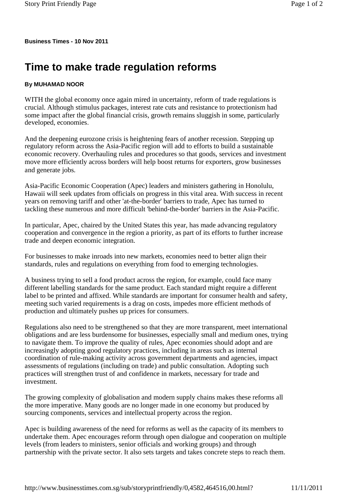**Business Times - 10 Nov 2011**

## **Time to make trade regulation reforms**

## **By MUHAMAD NOOR**

WITH the global economy once again mired in uncertainty, reform of trade regulations is crucial. Although stimulus packages, interest rate cuts and resistance to protectionism had some impact after the global financial crisis, growth remains sluggish in some, particularly developed, economies.

And the deepening eurozone crisis is heightening fears of another recession. Stepping up regulatory reform across the Asia-Pacific region will add to efforts to build a sustainable economic recovery. Overhauling rules and procedures so that goods, services and investment move more efficiently across borders will help boost returns for exporters, grow businesses and generate jobs.

Asia-Pacific Economic Cooperation (Apec) leaders and ministers gathering in Honolulu, Hawaii will seek updates from officials on progress in this vital area. With success in recent years on removing tariff and other 'at-the-border' barriers to trade, Apec has turned to tackling these numerous and more difficult 'behind-the-border' barriers in the Asia-Pacific.

In particular, Apec, chaired by the United States this year, has made advancing regulatory cooperation and convergence in the region a priority, as part of its efforts to further increase trade and deepen economic integration.

For businesses to make inroads into new markets, economies need to better align their standards, rules and regulations on everything from food to emerging technologies.

A business trying to sell a food product across the region, for example, could face many different labelling standards for the same product. Each standard might require a different label to be printed and affixed. While standards are important for consumer health and safety, meeting such varied requirements is a drag on costs, impedes more efficient methods of production and ultimately pushes up prices for consumers.

Regulations also need to be strengthened so that they are more transparent, meet international obligations and are less burdensome for businesses, especially small and medium ones, trying to navigate them. To improve the quality of rules, Apec economies should adopt and are increasingly adopting good regulatory practices, including in areas such as internal coordination of rule-making activity across government departments and agencies, impact assessments of regulations (including on trade) and public consultation. Adopting such practices will strengthen trust of and confidence in markets, necessary for trade and investment.

The growing complexity of globalisation and modern supply chains makes these reforms all the more imperative. Many goods are no longer made in one economy but produced by sourcing components, services and intellectual property across the region.

Apec is building awareness of the need for reforms as well as the capacity of its members to undertake them. Apec encourages reform through open dialogue and cooperation on multiple levels (from leaders to ministers, senior officials and working groups) and through partnership with the private sector. It also sets targets and takes concrete steps to reach them.

http://www.businesstimes.com.sg/sub/storyprintfriendly/0,4582,464516,00.html? 11/11/2011